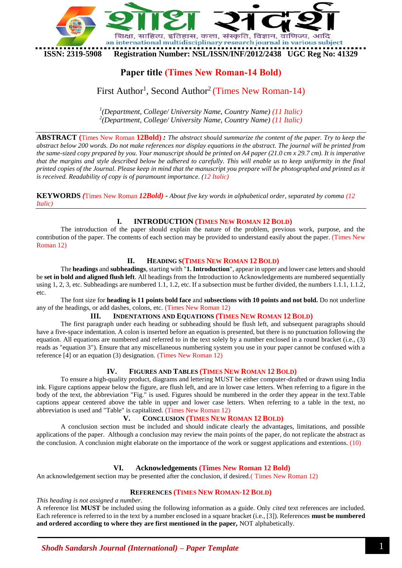

# **Paper title (Times New Roman-14 Bold)**

# First Author<sup>1</sup>, Second Author<sup>2</sup> (Times New Roman-14)

*1 (Department, College/ University Name, Country Name) (11 Italic) 2 (Department, College/ University Name, Country Name) (11 Italic)*

**ABSTRACT (**Times New Roman **12Bold)** *: The abstract should summarize the content of the paper. Try to keep the abstract below 200 words. Do not make references nor display equations in the abstract. The journal will be printed from the same-sized copy prepared by you. Your manuscript should be printed on A4 paper (21.0 cm x 29.7 cm). It is imperative that the margins and style described below be adhered to carefully. This will enable us to keep uniformity in the final printed copies of the Journal. Please keep in mind that the manuscript you prepare will be photographed and printed as it is received. Readability of copy is of paramount importance. (12 Italic)*

**KEYWORDS** *(*Times New Roman *12Bold) - About five key words in alphabetical order, separated by comma (12 Italic)*

## **I. INTRODUCTION (TIMES NEW ROMAN 12 BOLD)**

The introduction of the paper should explain the nature of the problem, previous work, purpose, and the contribution of the paper. The contents of each section may be provided to understand easily about the paper. (Times New Roman 12)

## **II. HEADING S(TIMES NEW ROMAN 12 BOLD)**

The **headings** and **subheadings**, starting with "**1. Introduction**", appear in upper and lower case letters and should be **set in bold and aligned flush left**. All headings from the Introduction to Acknowledgements are numbered sequentially using 1, 2, 3, etc. Subheadings are numbered 1.1, 1.2, etc. If a subsection must be further divided, the numbers  $1.1, 1.1, 2$ , etc.

The font size for **heading is 11 points bold face** and **subsections with 10 points and not bold.** Do not underline any of the headings, or add dashes, colons, etc. (Times New Roman 12)

## **III. INDENTATIONS AND EQUATIONS (TIMES NEW ROMAN 12 BOLD)**

The first paragraph under each heading or subheading should be flush left, and subsequent paragraphs should have a five-space indentation. A colon is inserted before an equation is presented, but there is no punctuation following the equation. All equations are numbered and referred to in the text solely by a number enclosed in a round bracket (i.e., (3) reads as "equation 3"). Ensure that any miscellaneous numbering system you use in your paper cannot be confused with a reference [4] or an equation (3) designation. (Times New Roman 12)

## **IV. FIGURES AND TABLES (TIMES NEW ROMAN 12 BOLD)**

To ensure a high-quality product, diagrams and lettering MUST be either computer-drafted or drawn using India ink. Figure captions appear below the figure, are flush left, and are in lower case letters. When referring to a figure in the body of the text, the abbreviation "Fig." is used. Figures should be numbered in the order they appear in the text.Table captions appear centered above the table in upper and lower case letters. When referring to a table in the text, no abbreviation is used and "Table" is capitalized. (Times New Roman 12)

## **V. CONCLUSION (TIMES NEW ROMAN 12 BOLD)**

A conclusion section must be included and should indicate clearly the advantages, limitations, and possible applications of the paper. Although a conclusion may review the main points of the paper, do not replicate the abstract as the conclusion. A conclusion might elaborate on the importance of the work or suggest applications and extentions. (10)

## **VI. Acknowledgements (Times New Roman 12 Bold)**

An acknowledgement section may be presented after the conclusion, if desired.(Times New Roman 12)

## **REFERENCES (TIMES NEW ROMAN-12 BOLD)**

## *This heading is not assigned a number.*

A reference list **MUST** be included using the following information as a guide. Only *cited* text references are included. Each reference is referred to in the text by a number enclosed in a square bracket (i.e., [3]). References **must be numbered and ordered according to where they are first mentioned in the paper,** NOT alphabetically.